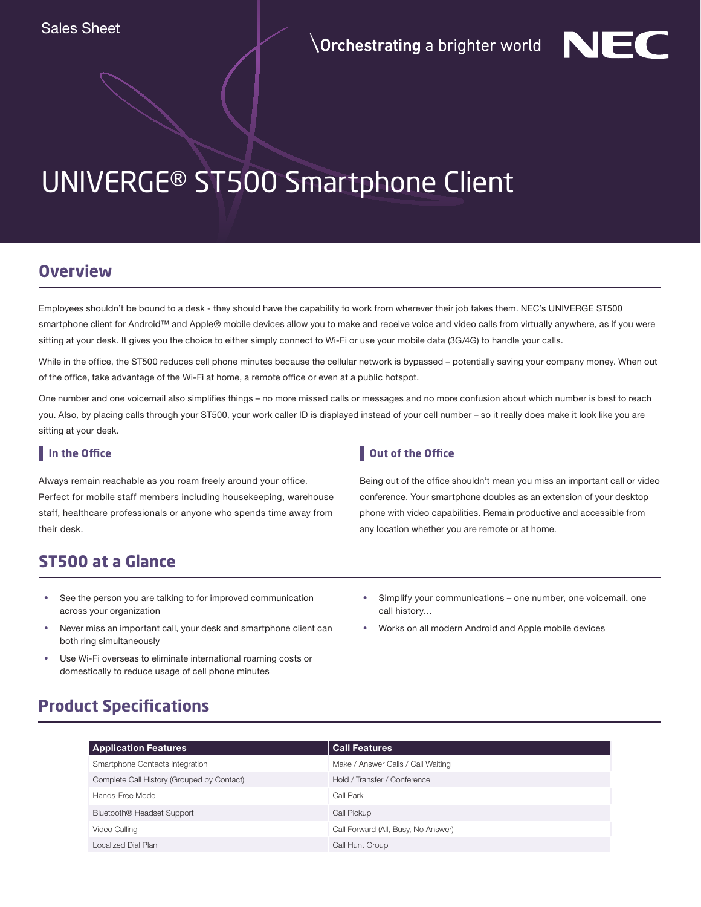

# UNIVERGE® ST500 Smartphone Client

### **Overview**

Employees shouldn't be bound to a desk - they should have the capability to work from wherever their job takes them. NEC's UNIVERGE ST500 smartphone client for Android™ and Apple® mobile devices allow you to make and receive voice and video calls from virtually anywhere, as if you were sitting at your desk. It gives you the choice to either simply connect to Wi-Fi or use your mobile data (3G/4G) to handle your calls.

While in the office, the ST500 reduces cell phone minutes because the cellular network is bypassed – potentially saving your company money. When out of the office, take advantage of the Wi-Fi at home, a remote office or even at a public hotspot.

One number and one voicemail also simplifies things – no more missed calls or messages and no more confusion about which number is best to reach you. Also, by placing calls through your ST500, your work caller ID is displayed instead of your cell number – so it really does make it look like you are sitting at your desk.

#### **In the Office**

Always remain reachable as you roam freely around your office. Perfect for mobile staff members including housekeeping, warehouse staff, healthcare professionals or anyone who spends time away from their desk.

#### **Out of the Office**

Being out of the office shouldn't mean you miss an important call or video conference. Your smartphone doubles as an extension of your desktop phone with video capabilities. Remain productive and accessible from any location whether you are remote or at home.

# **ST500 at a Glance**

- **•** See the person you are talking to for improved communication across your organization
- **•** Never miss an important call, your desk and smartphone client can both ring simultaneously
- **•** Use Wi-Fi overseas to eliminate international roaming costs or domestically to reduce usage of cell phone minutes
- **•** Simplify your communications one number, one voicemail, one call history…
- **•** Works on all modern Android and Apple mobile devices

# **Product Specifications**

| <b>Application Features</b>                | <b>Call Features</b>                |
|--------------------------------------------|-------------------------------------|
| Smartphone Contacts Integration            | Make / Answer Calls / Call Waiting  |
| Complete Call History (Grouped by Contact) | Hold / Transfer / Conference        |
| Hands-Free Mode                            | Call Park                           |
| Bluetooth <sup>®</sup> Headset Support     | Call Pickup                         |
| Video Calling                              | Call Forward (All, Busy, No Answer) |
| Localized Dial Plan                        | Call Hunt Group                     |